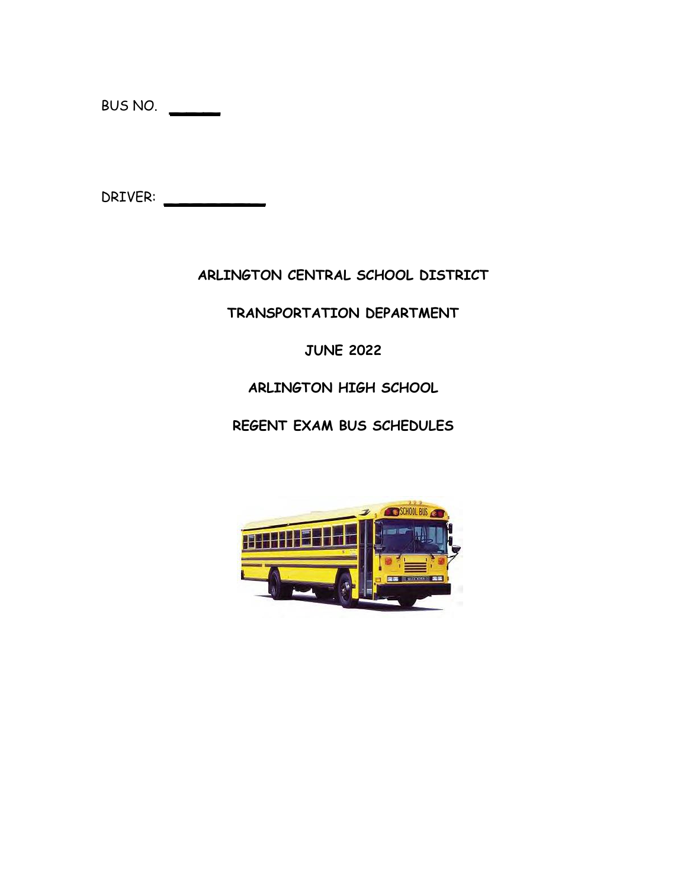BUS NO. \_\_\_

DRIVER: \_\_\_\_\_\_\_

### **ARLINGTON CENTRAL SCHOOL DISTRICT**

### **TRANSPORTATION DEPARTMENT**

### **JUNE 2022**

### **ARLINGTON HIGH SCHOOL**

### **REGENT EXAM BUS SCHEDULES**

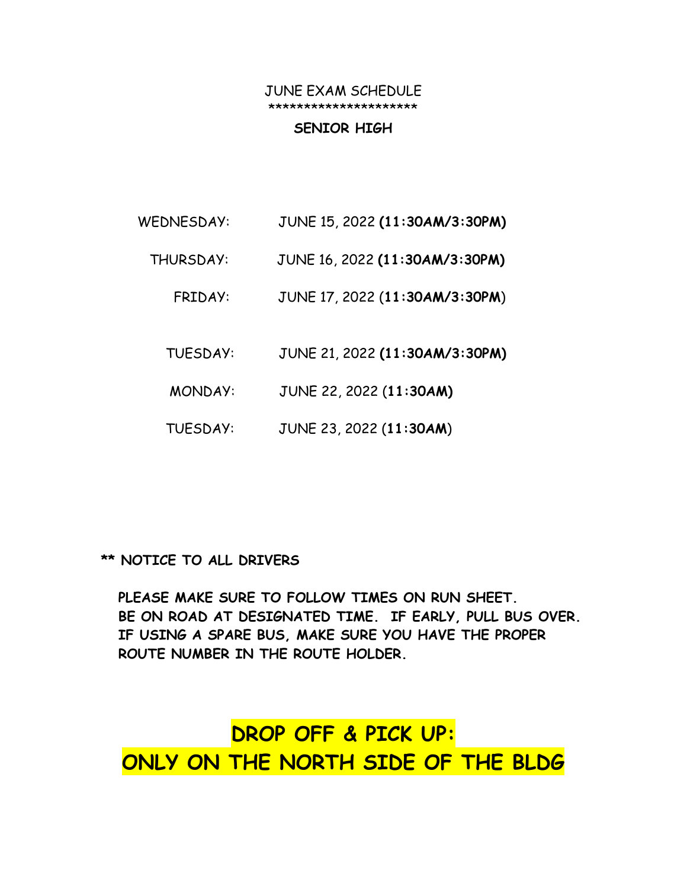### JUNE EXAM SCHEDULE \*\*\*\*\*\*\*\*\*\*\*\*\*\*\*\*\*\*\*\*\*

#### **SENIOR HIGH**

- WEDNESDAY: JUNE 15, 2022 **(11:30AM/3:30PM)**
	- THURSDAY: JUNE 16, 2022 **(11:30AM/3:30PM)**
		- FRIDAY: JUNE 17, 2022 (**11:30AM/3:30PM**)
		- TUESDAY: JUNE 21, 2022 **(11:30AM/3:30PM)**
		- MONDAY: JUNE 22, 2022 (**11:30AM)**
		- TUESDAY: JUNE 23, 2022 (**11:30AM**)

### **\*\* NOTICE TO ALL DRIVERS**

 **PLEASE MAKE SURE TO FOLLOW TIMES ON RUN SHEET. BE ON ROAD AT DESIGNATED TIME. IF EARLY, PULL BUS OVER. IF USING A SPARE BUS, MAKE SURE YOU HAVE THE PROPER ROUTE NUMBER IN THE ROUTE HOLDER.**

# **DROP OFF & PICK UP: ONLY ON THE NORTH SIDE OF THE BLDG**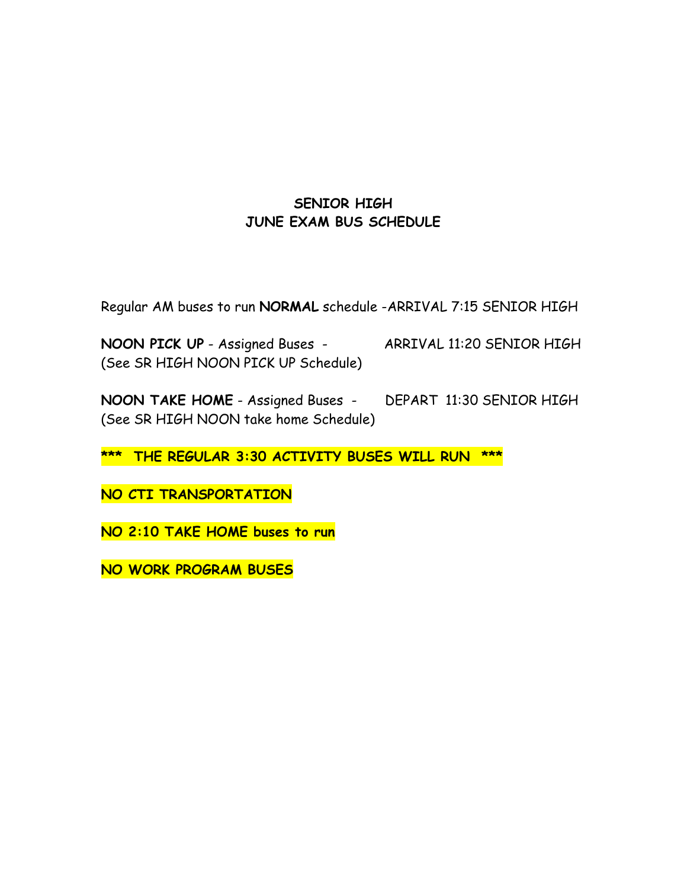### **SENIOR HIGH JUNE EXAM BUS SCHEDULE**

Regular AM buses to run **NORMAL** schedule -ARRIVAL 7:15 SENIOR HIGH

**NOON PICK UP** - Assigned Buses - ARRIVAL 11:20 SENIOR HIGH (See SR HIGH NOON PICK UP Schedule)

**NOON TAKE HOME** - Assigned Buses - DEPART 11:30 SENIOR HIGH (See SR HIGH NOON take home Schedule)

**\*\*\* THE REGULAR 3:30 ACTIVITY BUSES WILL RUN \*\*\***

**NO CTI TRANSPORTATION**

**NO 2:10 TAKE HOME buses to run**

**NO WORK PROGRAM BUSES**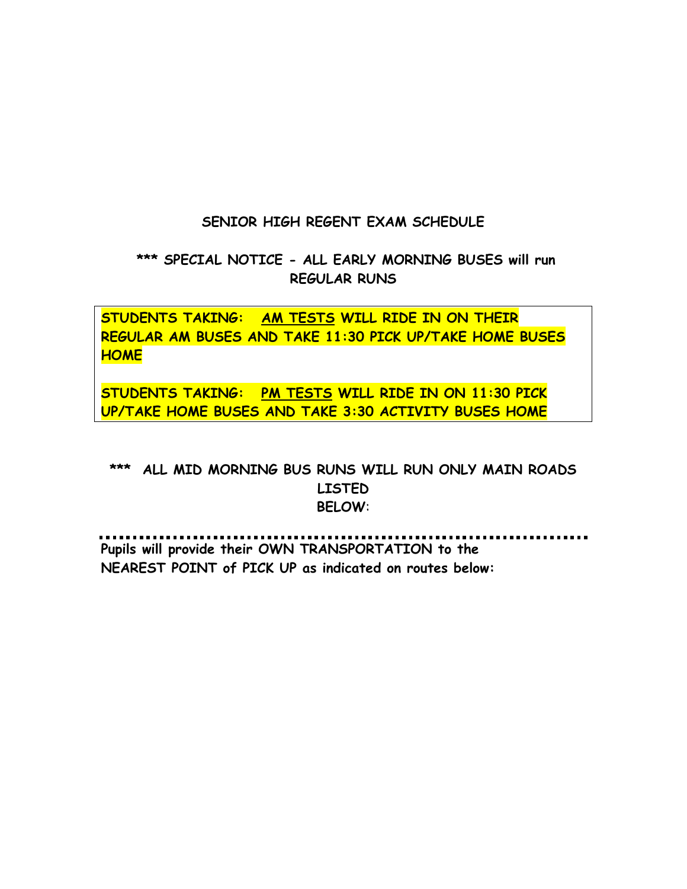### **SENIOR HIGH REGENT EXAM SCHEDULE**

### **\*\*\* SPECIAL NOTICE - ALL EARLY MORNING BUSES will run REGULAR RUNS**

**STUDENTS TAKING: AM TESTS WILL RIDE IN ON THEIR REGULAR AM BUSES AND TAKE 11:30 PICK UP/TAKE HOME BUSES HOME**

**STUDENTS TAKING: PM TESTS WILL RIDE IN ON 11:30 PICK UP/TAKE HOME BUSES AND TAKE 3:30 ACTIVITY BUSES HOME**

### **\*\*\* ALL MID MORNING BUS RUNS WILL RUN ONLY MAIN ROADS LISTED BELOW**:

**Pupils will provide their OWN TRANSPORTATION to the NEAREST POINT of PICK UP as indicated on routes below:**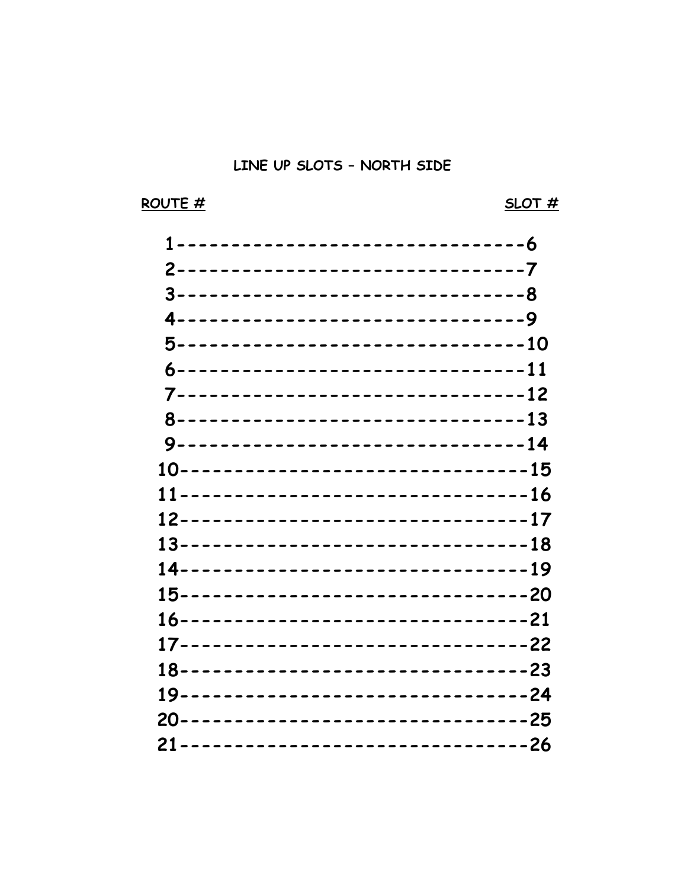### ROUTE #

### $SLOT#$

| 3--------------------------------8   |  |
|--------------------------------------|--|
| 4--------------------------------9   |  |
| 5-------------------------------10   |  |
| 6--------------------------------11  |  |
| 7--------------------------------12  |  |
| 8--------------------------------13  |  |
| 9--------------------------------14  |  |
| 10--------------------------------15 |  |
| 11--------------------------------16 |  |
| 12--------------------------------17 |  |
| 13--------------------------------18 |  |
| 14--------------------------------19 |  |
| 15--------------------------------20 |  |
| 16--------------------------------21 |  |
| 17--------------------------------22 |  |
| 18--------------------------------23 |  |
| 19--------------------------------24 |  |
| 20--------------------------------25 |  |
| 21--------------------------------26 |  |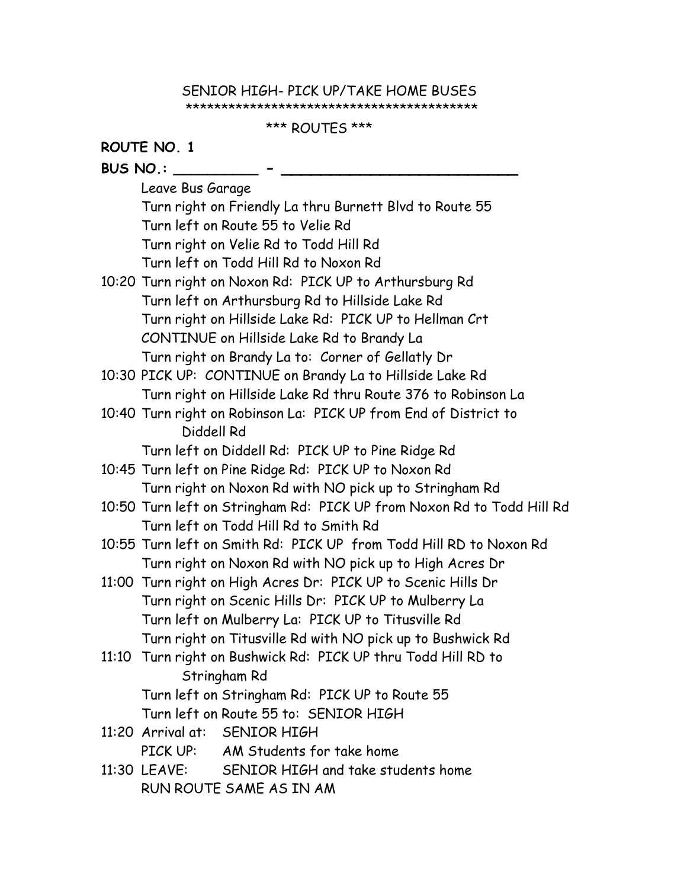#### SENIOR HIGH- PICK UP/TAKE HOME BUSES \*\*\*\*\*\*\*\*\*\*\*\*\*\*\*\*\*\*\*\*\*\*\*\*\*\*\*\*\*\*\*\*\*\*\*\*\*\*\*\*\*

### \*\*\* ROUTES \*\*\*

|                 | ROUTE NO. 1                                                   |                                                                        |  |  |  |
|-----------------|---------------------------------------------------------------|------------------------------------------------------------------------|--|--|--|
| <b>BUS NO.:</b> |                                                               |                                                                        |  |  |  |
|                 | Leave Bus Garage                                              |                                                                        |  |  |  |
|                 | Turn right on Friendly La thru Burnett Blvd to Route 55       |                                                                        |  |  |  |
|                 | Turn left on Route 55 to Velie Rd                             |                                                                        |  |  |  |
|                 | Turn right on Velie Rd to Todd Hill Rd                        |                                                                        |  |  |  |
|                 |                                                               | Turn left on Todd Hill Rd to Noxon Rd                                  |  |  |  |
|                 |                                                               | 10:20 Turn right on Noxon Rd: PICK UP to Arthursburg Rd                |  |  |  |
|                 |                                                               | Turn left on Arthursburg Rd to Hillside Lake Rd                        |  |  |  |
|                 |                                                               | Turn right on Hillside Lake Rd: PICK UP to Hellman Crt                 |  |  |  |
|                 |                                                               | CONTINUE on Hillside Lake Rd to Brandy La                              |  |  |  |
|                 |                                                               | Turn right on Brandy La to: Corner of Gellatly Dr                      |  |  |  |
|                 |                                                               | 10:30 PICK UP: CONTINUE on Brandy La to Hillside Lake Rd               |  |  |  |
|                 |                                                               | Turn right on Hillside Lake Rd thru Route 376 to Robinson La           |  |  |  |
|                 |                                                               | 10:40 Turn right on Robinson La: PICK UP from End of District to       |  |  |  |
|                 | Diddell Rd                                                    |                                                                        |  |  |  |
|                 |                                                               | Turn left on Diddell Rd: PICK UP to Pine Ridge Rd                      |  |  |  |
|                 |                                                               | 10:45 Turn left on Pine Ridge Rd: PICK UP to Noxon Rd                  |  |  |  |
|                 |                                                               | Turn right on Noxon Rd with NO pick up to Stringham Rd                 |  |  |  |
|                 |                                                               | 10:50 Turn left on Stringham Rd: PICK UP from Noxon Rd to Todd Hill Rd |  |  |  |
|                 |                                                               | Turn left on Todd Hill Rd to Smith Rd                                  |  |  |  |
|                 |                                                               | 10:55 Turn left on Smith Rd: PICK UP from Todd Hill RD to Noxon Rd     |  |  |  |
|                 |                                                               | Turn right on Noxon Rd with NO pick up to High Acres Dr                |  |  |  |
|                 |                                                               | 11:00 Turn right on High Acres Dr: PICK UP to Scenic Hills Dr          |  |  |  |
|                 | Turn right on Scenic Hills Dr: PICK UP to Mulberry La         |                                                                        |  |  |  |
|                 | Turn left on Mulberry La: PICK UP to Titusville Rd            |                                                                        |  |  |  |
|                 | Turn right on Titusville Rd with NO pick up to Bushwick Rd    |                                                                        |  |  |  |
|                 | 11:10 Turn right on Bushwick Rd: PICK UP thru Todd Hill RD to |                                                                        |  |  |  |
|                 | Stringham Rd                                                  |                                                                        |  |  |  |
|                 | Turn left on Stringham Rd: PICK UP to Route 55                |                                                                        |  |  |  |
|                 |                                                               | Turn left on Route 55 to: SENIOR HIGH                                  |  |  |  |
|                 |                                                               | 11:20 Arrival at: SENIOR HIGH                                          |  |  |  |
|                 |                                                               | PICK UP: AM Students for take home                                     |  |  |  |
|                 |                                                               | 11:30 LEAVE: SENIOR HIGH and take students home                        |  |  |  |
|                 | RUN ROUTE SAME AS IN AM                                       |                                                                        |  |  |  |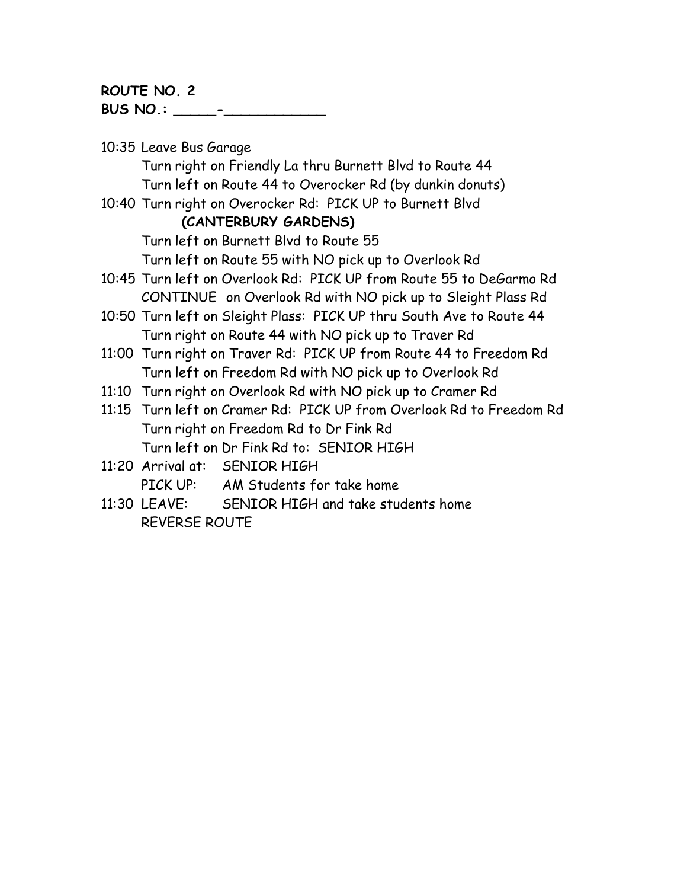**ROUTE NO. 2 BUS NO.: \_\_\_\_\_-\_\_\_\_\_\_\_\_\_\_\_\_** 

10:35 Leave Bus Garage Turn right on Friendly La thru Burnett Blvd to Route 44 Turn left on Route 44 to Overocker Rd (by dunkin donuts) 10:40 Turn right on Overocker Rd: PICK UP to Burnett Blvd **(CANTERBURY GARDENS)** Turn left on Burnett Blvd to Route 55 Turn left on Route 55 with NO pick up to Overlook Rd 10:45 Turn left on Overlook Rd: PICK UP from Route 55 to DeGarmo Rd CONTINUE on Overlook Rd with NO pick up to Sleight Plass Rd 10:50 Turn left on Sleight Plass: PICK UP thru South Ave to Route 44 Turn right on Route 44 with NO pick up to Traver Rd 11:00 Turn right on Traver Rd: PICK UP from Route 44 to Freedom Rd Turn left on Freedom Rd with NO pick up to Overlook Rd 11:10 Turn right on Overlook Rd with NO pick up to Cramer Rd 11:15 Turn left on Cramer Rd: PICK UP from Overlook Rd to Freedom Rd Turn right on Freedom Rd to Dr Fink Rd Turn left on Dr Fink Rd to: SENIOR HIGH 11:20 Arrival at: SENIOR HIGH PICK UP: AM Students for take home 11:30 LEAVE: SENIOR HIGH and take students home REVERSE ROUTE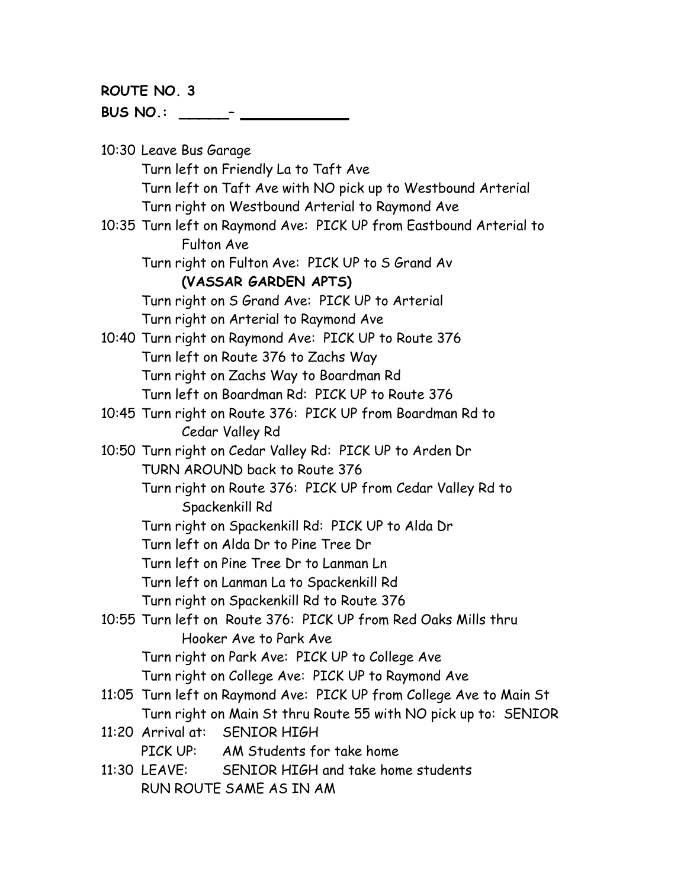**ROUTE NO. 3 BUS NO.: \_\_\_\_\_– \_\_\_\_\_\_\_\_\_\_\_**

10:30 Leave Bus Garage Turn left on Friendly La to Taft Ave Turn left on Taft Ave with NO pick up to Westbound Arterial Turn right on Westbound Arterial to Raymond Ave 10:35 Turn left on Raymond Ave: PICK UP from Eastbound Arterial to Fulton Ave Turn right on Fulton Ave: PICK UP to S Grand Av **(VASSAR GARDEN APTS)** Turn right on S Grand Ave: PICK UP to Arterial Turn right on Arterial to Raymond Ave 10:40 Turn right on Raymond Ave: PICK UP to Route 376 Turn left on Route 376 to Zachs Way Turn right on Zachs Way to Boardman Rd Turn left on Boardman Rd: PICK UP to Route 376 10:45 Turn right on Route 376: PICK UP from Boardman Rd to Cedar Valley Rd 10:50 Turn right on Cedar Valley Rd: PICK UP to Arden Dr TURN AROUND back to Route 376 Turn right on Route 376: PICK UP from Cedar Valley Rd to Spackenkill Rd Turn right on Spackenkill Rd: PICK UP to Alda Dr Turn left on Alda Dr to Pine Tree Dr Turn left on Pine Tree Dr to Lanman Ln Turn left on Lanman La to Spackenkill Rd Turn right on Spackenkill Rd to Route 376 10:55 Turn left on Route 376: PICK UP from Red Oaks Mills thru Hooker Ave to Park Ave Turn right on Park Ave: PICK UP to College Ave Turn right on College Ave: PICK UP to Raymond Ave 11:05 Turn left on Raymond Ave: PICK UP from College Ave to Main St Turn right on Main St thru Route 55 with NO pick up to: SENIOR 11:20 Arrival at: SENIOR HIGH PICK UP: AM Students for take home 11:30 LEAVE: SENIOR HIGH and take home students RUN ROUTE SAME AS IN AM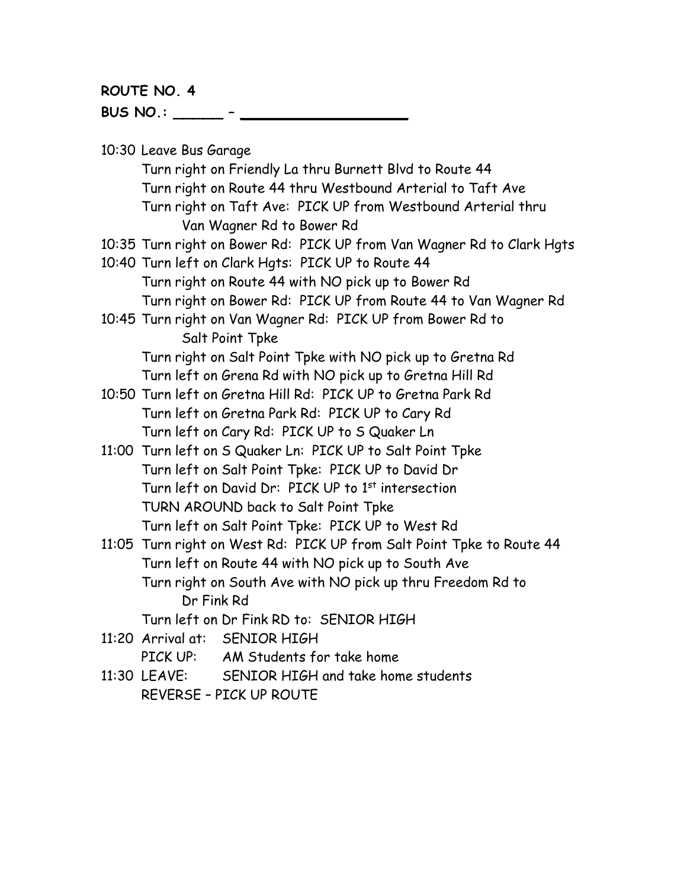**ROUTE NO. 4 BUS NO.: \_\_\_\_\_ – \_\_\_\_\_\_\_\_\_\_\_\_\_\_\_\_\_**

10:30 Leave Bus Garage

Turn right on Friendly La thru Burnett Blvd to Route 44 Turn right on Route 44 thru Westbound Arterial to Taft Ave Turn right on Taft Ave: PICK UP from Westbound Arterial thru Van Wagner Rd to Bower Rd

- 10:35 Turn right on Bower Rd: PICK UP from Van Wagner Rd to Clark Hgts
- 10:40 Turn left on Clark Hgts: PICK UP to Route 44 Turn right on Route 44 with NO pick up to Bower Rd Turn right on Bower Rd: PICK UP from Route 44 to Van Wagner Rd
- 10:45 Turn right on Van Wagner Rd: PICK UP from Bower Rd to Salt Point Tpke

Turn right on Salt Point Tpke with NO pick up to Gretna Rd Turn left on Grena Rd with NO pick up to Gretna Hill Rd

- 10:50 Turn left on Gretna Hill Rd: PICK UP to Gretna Park Rd Turn left on Gretna Park Rd: PICK UP to Cary Rd Turn left on Cary Rd: PICK UP to S Quaker Ln
- 11:00 Turn left on S Quaker Ln: PICK UP to Salt Point Tpke Turn left on Salt Point Tpke: PICK UP to David Dr Turn left on David Dr: PICK UP to 1<sup>st</sup> intersection TURN AROUND back to Salt Point Tpke Turn left on Salt Point Tpke: PICK UP to West Rd
- 11:05 Turn right on West Rd: PICK UP from Salt Point Tpke to Route 44 Turn left on Route 44 with NO pick up to South Ave Turn right on South Ave with NO pick up thru Freedom Rd to Dr Fink Rd

Turn left on Dr Fink RD to: SENIOR HIGH

11:20 Arrival at: SENIOR HIGH

PICK UP: AM Students for take home

11:30 LEAVE: SENIOR HIGH and take home students REVERSE – PICK UP ROUTE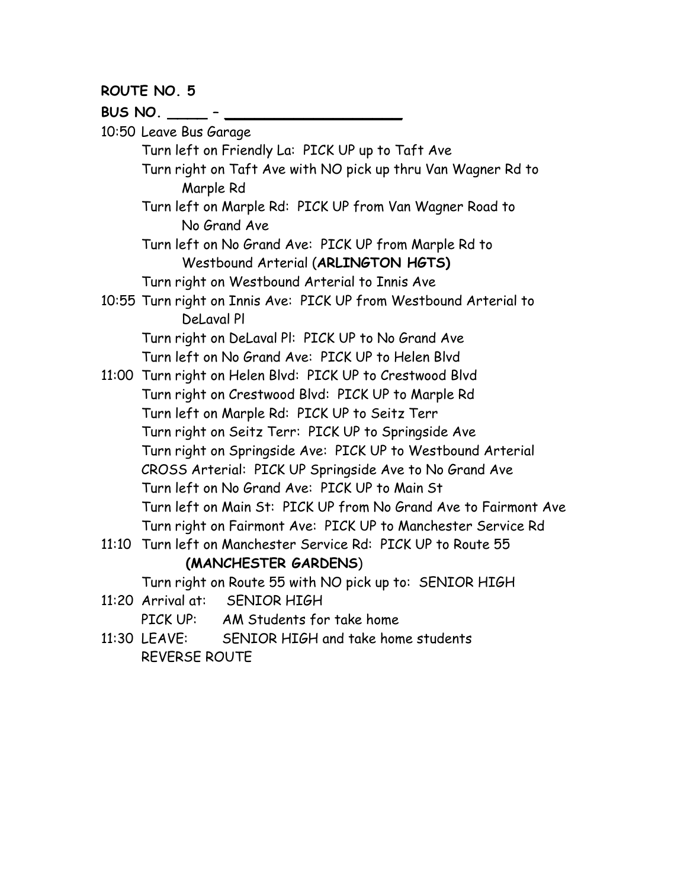**BUS NO. \_\_\_\_ – \_\_\_\_\_\_\_\_\_\_\_\_\_\_\_\_\_\_** 10:50 Leave Bus Garage Turn left on Friendly La: PICK UP up to Taft Ave Turn right on Taft Ave with NO pick up thru Van Wagner Rd to Marple Rd Turn left on Marple Rd: PICK UP from Van Wagner Road to No Grand Ave Turn left on No Grand Ave: PICK UP from Marple Rd to Westbound Arterial (**ARLINGTON HGTS)** Turn right on Westbound Arterial to Innis Ave 10:55 Turn right on Innis Ave: PICK UP from Westbound Arterial to DeLaval Pl Turn right on DeLaval Pl: PICK UP to No Grand Ave Turn left on No Grand Ave: PICK UP to Helen Blvd 11:00 Turn right on Helen Blvd: PICK UP to Crestwood Blvd Turn right on Crestwood Blvd: PICK UP to Marple Rd Turn left on Marple Rd: PICK UP to Seitz Terr Turn right on Seitz Terr: PICK UP to Springside Ave Turn right on Springside Ave: PICK UP to Westbound Arterial CROSS Arterial: PICK UP Springside Ave to No Grand Ave Turn left on No Grand Ave: PICK UP to Main St Turn left on Main St: PICK UP from No Grand Ave to Fairmont Ave Turn right on Fairmont Ave: PICK UP to Manchester Service Rd 11:10 Turn left on Manchester Service Rd: PICK UP to Route 55 **(MANCHESTER GARDENS**) Turn right on Route 55 with NO pick up to: SENIOR HIGH 11:20 Arrival at: SENIOR HIGH PICK UP: AM Students for take home

11:30 LEAVE: SENIOR HIGH and take home students REVERSE ROUTE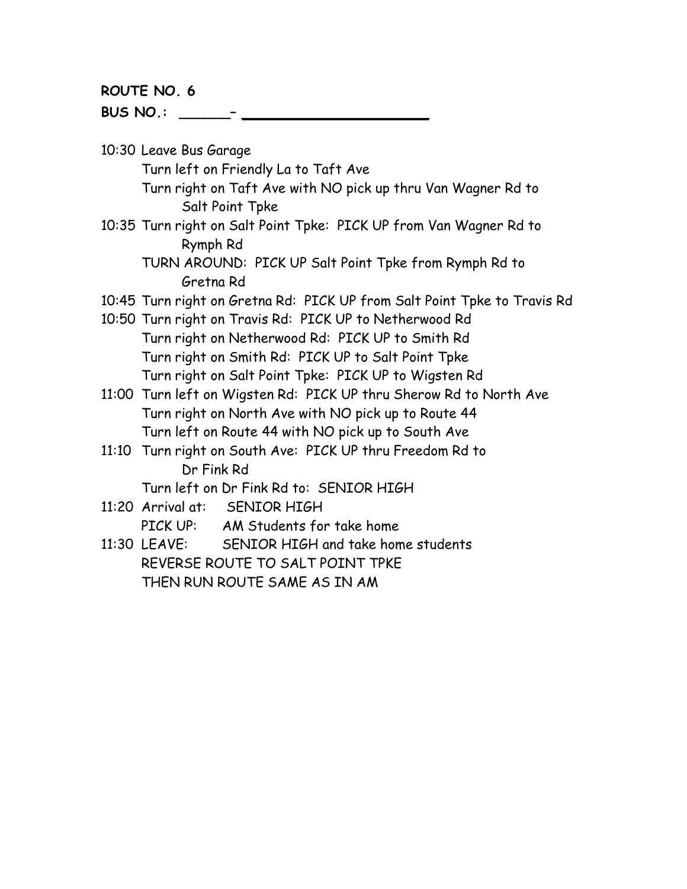**BUS NO.: \_\_\_\_\_\_– \_\_\_\_\_\_\_\_\_\_\_\_\_\_\_\_\_\_\_**

10:30 Leave Bus Garage

Turn left on Friendly La to Taft Ave

Turn right on Taft Ave with NO pick up thru Van Wagner Rd to Salt Point Tpke

10:35 Turn right on Salt Point Tpke: PICK UP from Van Wagner Rd to Rymph Rd

TURN AROUND: PICK UP Salt Point Tpke from Rymph Rd to Gretna Rd

- 10:45 Turn right on Gretna Rd: PICK UP from Salt Point Tpke to Travis Rd
- 10:50 Turn right on Travis Rd: PICK UP to Netherwood Rd Turn right on Netherwood Rd: PICK UP to Smith Rd Turn right on Smith Rd: PICK UP to Salt Point Tpke Turn right on Salt Point Tpke: PICK UP to Wigsten Rd
- 11:00 Turn left on Wigsten Rd: PICK UP thru Sherow Rd to North Ave Turn right on North Ave with NO pick up to Route 44 Turn left on Route 44 with NO pick up to South Ave
- 11:10 Turn right on South Ave: PICK UP thru Freedom Rd to Dr Fink Rd

Turn left on Dr Fink Rd to: SENIOR HIGH

- 11:20 Arrival at: SENIOR HIGH PICK UP: AM Students for take home
- 11:30 LEAVE: SENIOR HIGH and take home students REVERSE ROUTE TO SALT POINT TPKE THEN RUN ROUTE SAME AS IN AM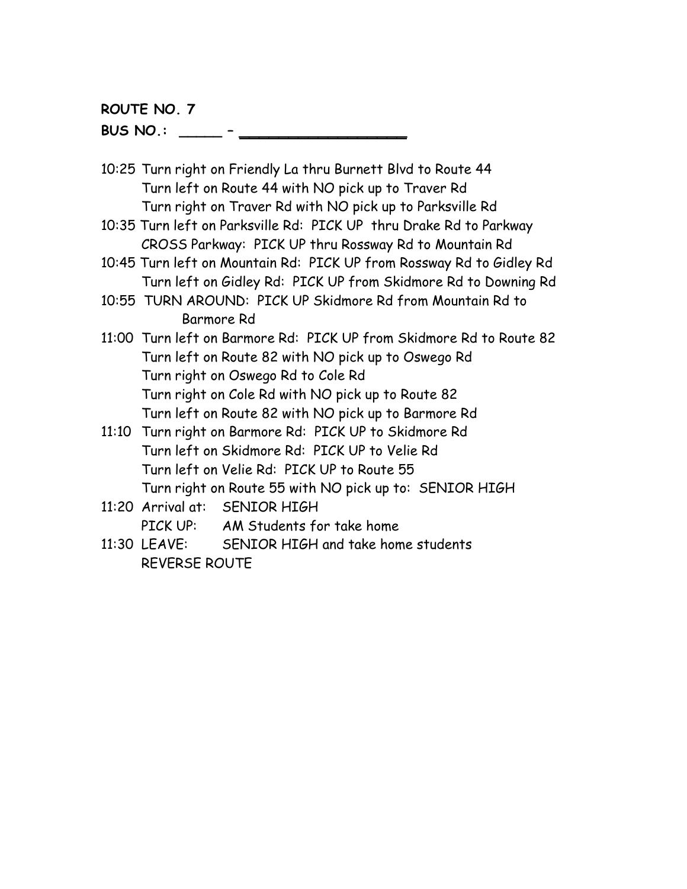**BUS NO.: \_\_\_\_\_ – \_\_\_\_\_\_\_\_\_\_\_\_\_\_\_\_\_**

- 10:25 Turn right on Friendly La thru Burnett Blvd to Route 44 Turn left on Route 44 with NO pick up to Traver Rd Turn right on Traver Rd with NO pick up to Parksville Rd
- 10:35 Turn left on Parksville Rd: PICK UP thru Drake Rd to Parkway CROSS Parkway: PICK UP thru Rossway Rd to Mountain Rd
- 10:45 Turn left on Mountain Rd: PICK UP from Rossway Rd to Gidley Rd Turn left on Gidley Rd: PICK UP from Skidmore Rd to Downing Rd
- 10:55 TURN AROUND: PICK UP Skidmore Rd from Mountain Rd to Barmore Rd
- 11:00 Turn left on Barmore Rd: PICK UP from Skidmore Rd to Route 82 Turn left on Route 82 with NO pick up to Oswego Rd Turn right on Oswego Rd to Cole Rd Turn right on Cole Rd with NO pick up to Route 82 Turn left on Route 82 with NO pick up to Barmore Rd
- 11:10 Turn right on Barmore Rd: PICK UP to Skidmore Rd Turn left on Skidmore Rd: PICK UP to Velie Rd Turn left on Velie Rd: PICK UP to Route 55 Turn right on Route 55 with NO pick up to: SENIOR HIGH
- 11:20 Arrival at: SENIOR HIGH PICK UP: AM Students for take home
- 11:30 LEAVE: SENIOR HIGH and take home students REVERSE ROUTE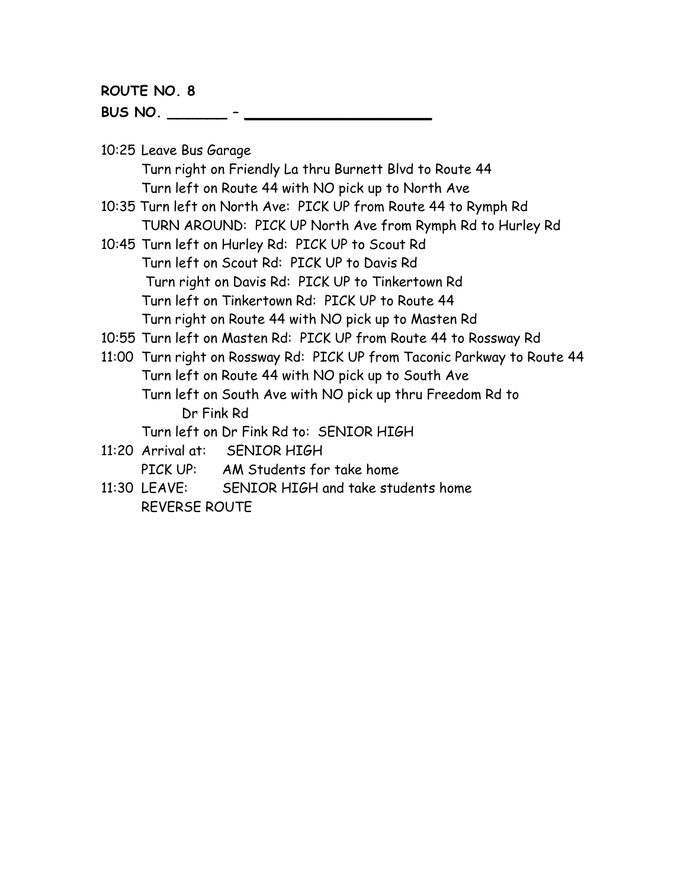**BUS NO. \_\_\_\_\_\_ – \_\_\_\_\_\_\_\_\_\_\_\_\_\_\_\_\_\_\_**

10:25 Leave Bus Garage

Turn right on Friendly La thru Burnett Blvd to Route 44 Turn left on Route 44 with NO pick up to North Ave

- 10:35 Turn left on North Ave: PICK UP from Route 44 to Rymph Rd TURN AROUND: PICK UP North Ave from Rymph Rd to Hurley Rd
- 10:45 Turn left on Hurley Rd: PICK UP to Scout Rd Turn left on Scout Rd: PICK UP to Davis Rd Turn right on Davis Rd: PICK UP to Tinkertown Rd Turn left on Tinkertown Rd: PICK UP to Route 44 Turn right on Route 44 with NO pick up to Masten Rd
- 10:55 Turn left on Masten Rd: PICK UP from Route 44 to Rossway Rd
- 11:00 Turn right on Rossway Rd: PICK UP from Taconic Parkway to Route 44 Turn left on Route 44 with NO pick up to South Ave Turn left on South Ave with NO pick up thru Freedom Rd to Dr Fink Rd

Turn left on Dr Fink Rd to: SENIOR HIGH

- 11:20 Arrival at: SENIOR HIGH PICK UP: AM Students for take home
- 11:30 LEAVE: SENIOR HIGH and take students home REVERSE ROUTE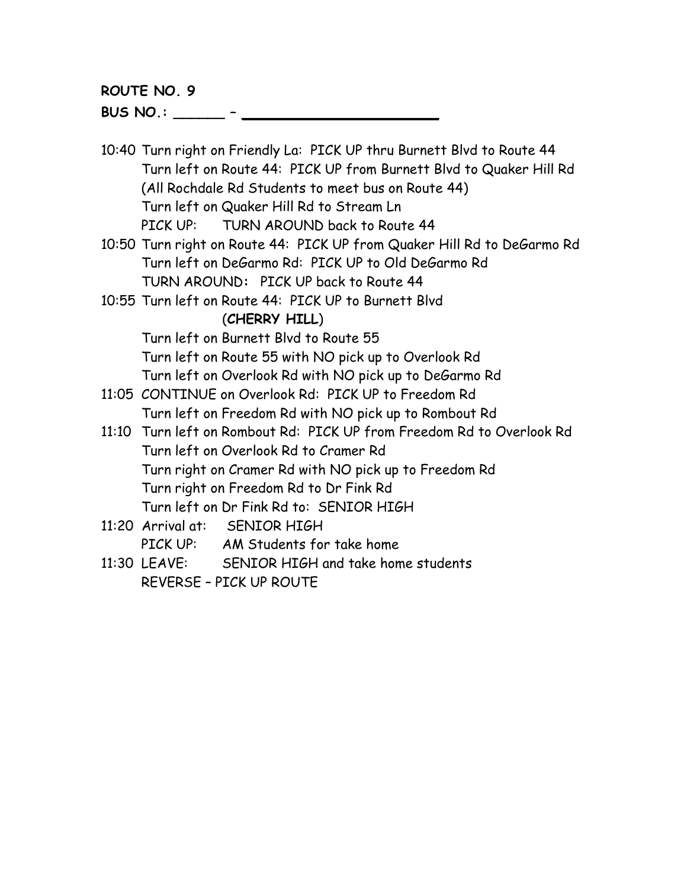**BUS NO.: \_\_\_\_\_\_ – \_\_\_\_\_\_\_\_\_\_\_\_\_\_\_\_\_\_\_\_** 

- 10:40 Turn right on Friendly La: PICK UP thru Burnett Blvd to Route 44 Turn left on Route 44: PICK UP from Burnett Blvd to Quaker Hill Rd (All Rochdale Rd Students to meet bus on Route 44) Turn left on Quaker Hill Rd to Stream Ln PICK UP: TURN AROUND back to Route 44
- 10:50 Turn right on Route 44: PICK UP from Quaker Hill Rd to DeGarmo Rd Turn left on DeGarmo Rd: PICK UP to Old DeGarmo Rd TURN AROUND**:** PICK UP back to Route 44
- 10:55 Turn left on Route 44: PICK UP to Burnett Blvd (**CHERRY HILL**)

Turn left on Burnett Blvd to Route 55

- Turn left on Route 55 with NO pick up to Overlook Rd
- Turn left on Overlook Rd with NO pick up to DeGarmo Rd
- 11:05 CONTINUE on Overlook Rd: PICK UP to Freedom Rd Turn left on Freedom Rd with NO pick up to Rombout Rd
- 11:10 Turn left on Rombout Rd: PICK UP from Freedom Rd to Overlook Rd Turn left on Overlook Rd to Cramer Rd Turn right on Cramer Rd with NO pick up to Freedom Rd Turn right on Freedom Rd to Dr Fink Rd Turn left on Dr Fink Rd to: SENIOR HIGH
- 11:20 Arrival at: SENIOR HIGH
	- PICK UP: AM Students for take home
- 11:30 LEAVE: SENIOR HIGH and take home students REVERSE – PICK UP ROUTE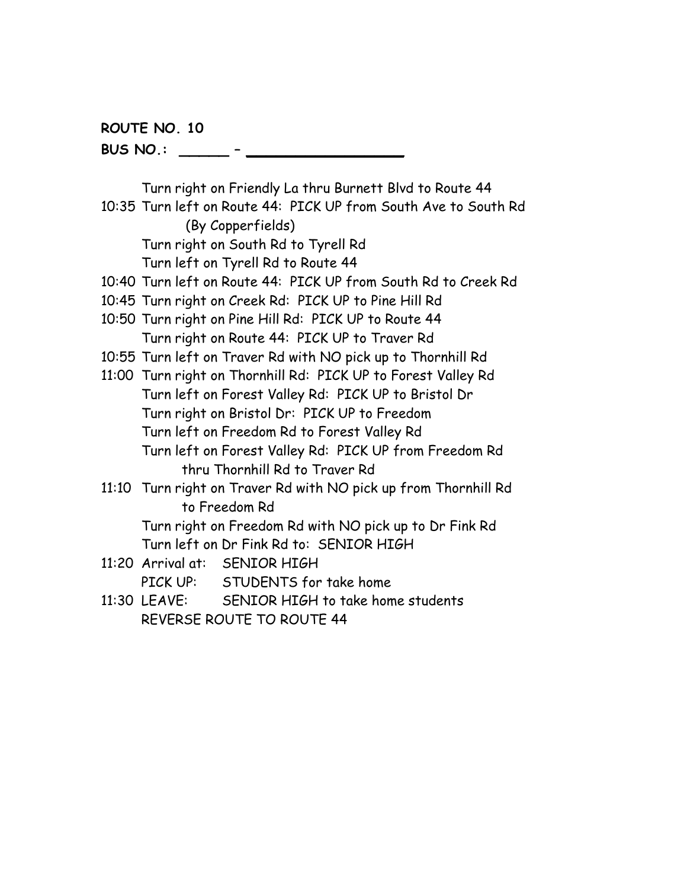**BUS NO.: \_\_\_\_\_ – \_\_\_\_\_\_\_\_\_\_\_\_\_\_\_\_**

Turn right on Friendly La thru Burnett Blvd to Route 44 10:35 Turn left on Route 44: PICK UP from South Ave to South Rd (By Copperfields) Turn right on South Rd to Tyrell Rd Turn left on Tyrell Rd to Route 44 10:40 Turn left on Route 44: PICK UP from South Rd to Creek Rd 10:45 Turn right on Creek Rd: PICK UP to Pine Hill Rd 10:50 Turn right on Pine Hill Rd: PICK UP to Route 44 Turn right on Route 44: PICK UP to Traver Rd 10:55 Turn left on Traver Rd with NO pick up to Thornhill Rd 11:00 Turn right on Thornhill Rd: PICK UP to Forest Valley Rd Turn left on Forest Valley Rd: PICK UP to Bristol Dr Turn right on Bristol Dr: PICK UP to Freedom Turn left on Freedom Rd to Forest Valley Rd Turn left on Forest Valley Rd: PICK UP from Freedom Rd thru Thornhill Rd to Traver Rd 11:10 Turn right on Traver Rd with NO pick up from Thornhill Rd to Freedom Rd Turn right on Freedom Rd with NO pick up to Dr Fink Rd Turn left on Dr Fink Rd to: SENIOR HIGH 11:20 Arrival at: SENIOR HIGH PICK UP: STUDENTS for take home 11:30 LEAVE: SENIOR HIGH to take home students REVERSE ROUTE TO ROUTE 44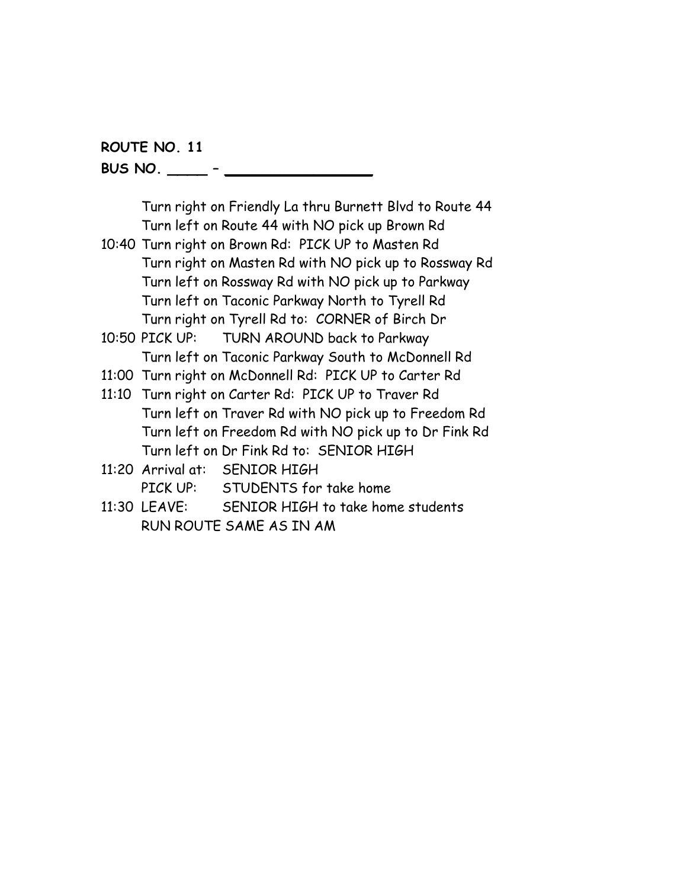**BUS NO. \_\_\_\_ – \_\_\_\_\_\_\_\_\_\_\_\_\_\_\_**

Turn right on Friendly La thru Burnett Blvd to Route 44 Turn left on Route 44 with NO pick up Brown Rd

- 10:40 Turn right on Brown Rd: PICK UP to Masten Rd Turn right on Masten Rd with NO pick up to Rossway Rd Turn left on Rossway Rd with NO pick up to Parkway Turn left on Taconic Parkway North to Tyrell Rd Turn right on Tyrell Rd to: CORNER of Birch Dr
- 10:50 PICK UP: TURN AROUND back to Parkway Turn left on Taconic Parkway South to McDonnell Rd
- 11:00 Turn right on McDonnell Rd: PICK UP to Carter Rd

11:10 Turn right on Carter Rd: PICK UP to Traver Rd Turn left on Traver Rd with NO pick up to Freedom Rd Turn left on Freedom Rd with NO pick up to Dr Fink Rd Turn left on Dr Fink Rd to: SENIOR HIGH

- 11:20 Arrival at: SENIOR HIGH PICK UP: STUDENTS for take home
- 11:30 LEAVE: SENIOR HIGH to take home students RUN ROUTE SAME AS IN AM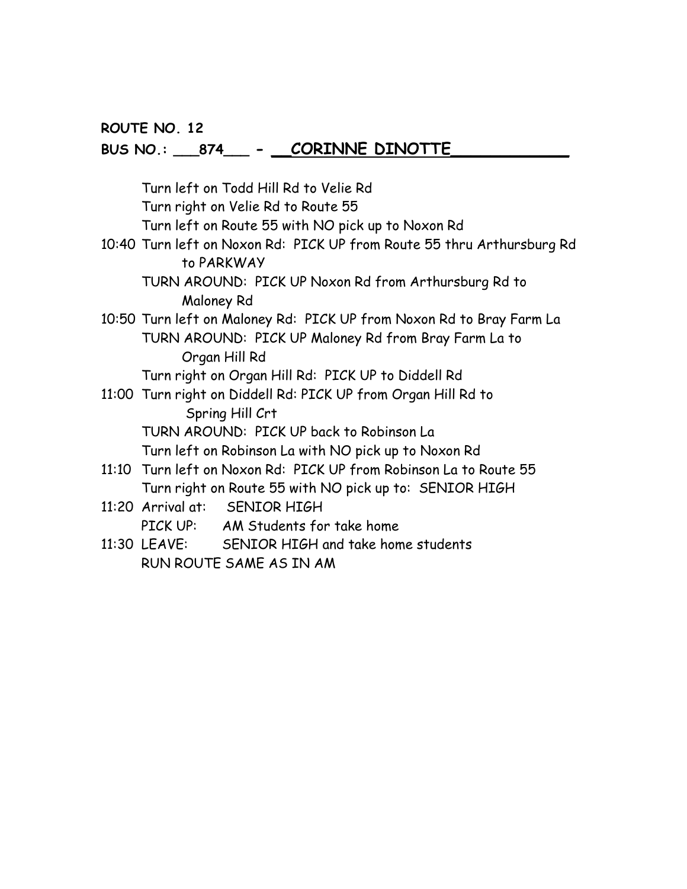# **BUS NO.: \_\_\_874\_\_\_ - \_\_CORINNE DINOTTE\_\_\_\_\_\_\_\_\_\_\_\_**

|  | Turn left on Todd Hill Rd to Velie Rd                                                                                       |  |  |  |
|--|-----------------------------------------------------------------------------------------------------------------------------|--|--|--|
|  | Turn right on Velie Rd to Route 55                                                                                          |  |  |  |
|  | Turn left on Route 55 with NO pick up to Noxon Rd                                                                           |  |  |  |
|  | 10:40 Turn left on Noxon Rd: PICK UP from Route 55 thru Arthursburg Rd<br>to PARKWAY                                        |  |  |  |
|  | TURN AROUND: PICK UP Noxon Rd from Arthursburg Rd to<br>Maloney Rd                                                          |  |  |  |
|  | 10:50 Turn left on Maloney Rd: PICK UP from Noxon Rd to Bray Farm La                                                        |  |  |  |
|  | TURN AROUND: PICK UP Maloney Rd from Bray Farm La to<br>Organ Hill Rd                                                       |  |  |  |
|  | Turn right on Organ Hill Rd: PICK UP to Diddell Rd                                                                          |  |  |  |
|  | 11:00 Turn right on Diddell Rd: PICK UP from Organ Hill Rd to<br>Spring Hill Crt                                            |  |  |  |
|  | TURN AROUND: PICK UP back to Robinson La                                                                                    |  |  |  |
|  | Turn left on Robinson La with NO pick up to Noxon Rd                                                                        |  |  |  |
|  | 11:10 Turn left on Noxon Rd: PICK UP from Robinson La to Route 55<br>Turn right on Route 55 with NO pick up to: SENIOR HIGH |  |  |  |
|  | 11:20 Arrival at: SENIOR HIGH<br>PICK UP: AM Students for take home                                                         |  |  |  |
|  | 11:30 LEAVE: SENIOR HIGH and take home students<br>RUN ROUTE SAME AS IN AM                                                  |  |  |  |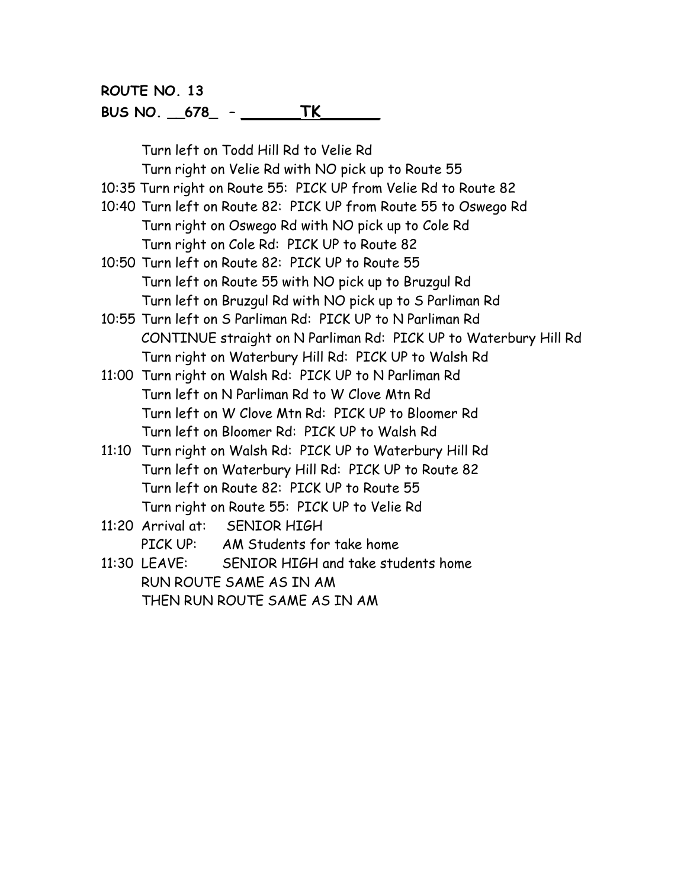### **BUS NO. \_\_678\_ – \_\_\_\_\_\_TK\_\_\_\_\_\_**

Turn left on Todd Hill Rd to Velie Rd Turn right on Velie Rd with NO pick up to Route 55

10:35 Turn right on Route 55: PICK UP from Velie Rd to Route 82

- 10:40 Turn left on Route 82: PICK UP from Route 55 to Oswego Rd Turn right on Oswego Rd with NO pick up to Cole Rd Turn right on Cole Rd: PICK UP to Route 82
- 10:50 Turn left on Route 82: PICK UP to Route 55 Turn left on Route 55 with NO pick up to Bruzgul Rd Turn left on Bruzgul Rd with NO pick up to S Parliman Rd
- 10:55 Turn left on S Parliman Rd: PICK UP to N Parliman Rd CONTINUE straight on N Parliman Rd: PICK UP to Waterbury Hill Rd Turn right on Waterbury Hill Rd: PICK UP to Walsh Rd
- 11:00 Turn right on Walsh Rd: PICK UP to N Parliman Rd Turn left on N Parliman Rd to W Clove Mtn Rd Turn left on W Clove Mtn Rd: PICK UP to Bloomer Rd Turn left on Bloomer Rd: PICK UP to Walsh Rd
- 11:10 Turn right on Walsh Rd: PICK UP to Waterbury Hill Rd Turn left on Waterbury Hill Rd: PICK UP to Route 82 Turn left on Route 82: PICK UP to Route 55 Turn right on Route 55: PICK UP to Velie Rd
- 11:20 Arrival at: SENIOR HIGH

PICK UP: AM Students for take home

11:30 LEAVE: SENIOR HIGH and take students home RUN ROUTE SAME AS IN AM THEN RUN ROUTE SAME AS IN AM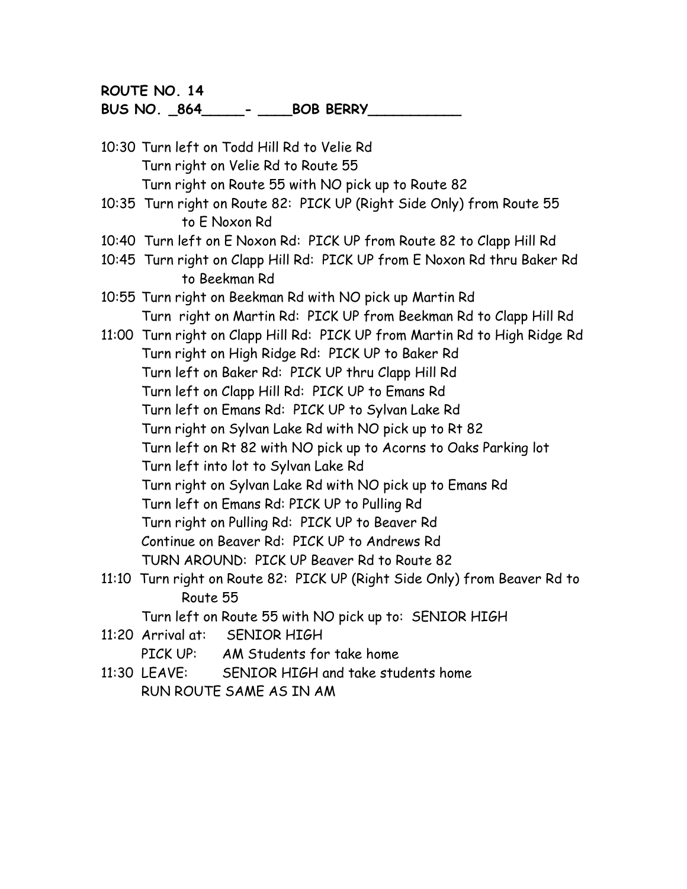**BUS NO. \_864\_\_\_\_\_- \_\_\_\_BOB BERRY\_\_\_\_\_\_\_\_\_\_\_**

- 10:30 Turn left on Todd Hill Rd to Velie Rd Turn right on Velie Rd to Route 55 Turn right on Route 55 with NO pick up to Route 82
- 10:35 Turn right on Route 82: PICK UP (Right Side Only) from Route 55 to E Noxon Rd
- 10:40 Turn left on E Noxon Rd: PICK UP from Route 82 to Clapp Hill Rd
- 10:45 Turn right on Clapp Hill Rd: PICK UP from E Noxon Rd thru Baker Rd to Beekman Rd
- 10:55 Turn right on Beekman Rd with NO pick up Martin Rd Turn right on Martin Rd: PICK UP from Beekman Rd to Clapp Hill Rd
- 11:00 Turn right on Clapp Hill Rd: PICK UP from Martin Rd to High Ridge Rd Turn right on High Ridge Rd: PICK UP to Baker Rd Turn left on Baker Rd: PICK UP thru Clapp Hill Rd Turn left on Clapp Hill Rd: PICK UP to Emans Rd Turn left on Emans Rd: PICK UP to Sylvan Lake Rd Turn right on Sylvan Lake Rd with NO pick up to Rt 82 Turn left on Rt 82 with NO pick up to Acorns to Oaks Parking lot Turn left into lot to Sylvan Lake Rd Turn right on Sylvan Lake Rd with NO pick up to Emans Rd Turn left on Emans Rd: PICK UP to Pulling Rd Turn right on Pulling Rd: PICK UP to Beaver Rd Continue on Beaver Rd: PICK UP to Andrews Rd TURN AROUND: PICK UP Beaver Rd to Route 82
- 11:10 Turn right on Route 82: PICK UP (Right Side Only) from Beaver Rd to Route 55

Turn left on Route 55 with NO pick up to: SENIOR HIGH

11:20 Arrival at: SENIOR HIGH

PICK UP: AM Students for take home

11:30 LEAVE: SENIOR HIGH and take students home RUN ROUTE SAME AS IN AM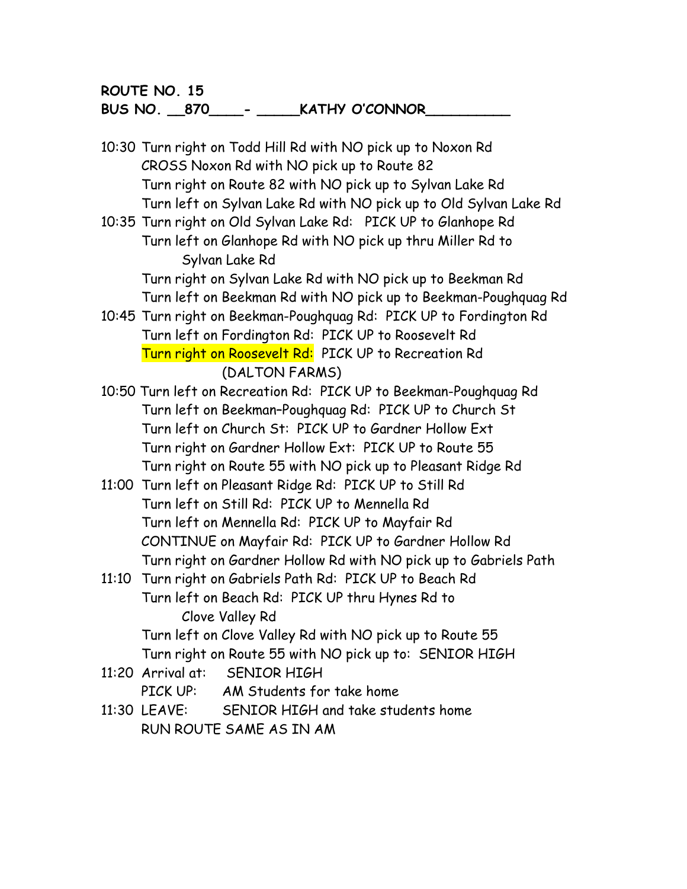**BUS NO. \_\_870\_\_\_\_- \_\_\_\_\_KATHY O'CONNOR\_\_\_\_\_\_\_\_\_\_**

- 10:30 Turn right on Todd Hill Rd with NO pick up to Noxon Rd CROSS Noxon Rd with NO pick up to Route 82 Turn right on Route 82 with NO pick up to Sylvan Lake Rd Turn left on Sylvan Lake Rd with NO pick up to Old Sylvan Lake Rd
- 10:35 Turn right on Old Sylvan Lake Rd: PICK UP to Glanhope Rd Turn left on Glanhope Rd with NO pick up thru Miller Rd to Sylvan Lake Rd

Turn right on Sylvan Lake Rd with NO pick up to Beekman Rd Turn left on Beekman Rd with NO pick up to Beekman-Poughquag Rd

- 10:45 Turn right on Beekman-Poughquag Rd: PICK UP to Fordington Rd Turn left on Fordington Rd: PICK UP to Roosevelt Rd Turn right on Roosevelt Rd: PICK UP to Recreation Rd (DALTON FARMS)
- 10:50 Turn left on Recreation Rd: PICK UP to Beekman-Poughquag Rd Turn left on Beekman–Poughquag Rd: PICK UP to Church St Turn left on Church St: PICK UP to Gardner Hollow Ext Turn right on Gardner Hollow Ext: PICK UP to Route 55 Turn right on Route 55 with NO pick up to Pleasant Ridge Rd
- 11:00 Turn left on Pleasant Ridge Rd: PICK UP to Still Rd Turn left on Still Rd: PICK UP to Mennella Rd Turn left on Mennella Rd: PICK UP to Mayfair Rd CONTINUE on Mayfair Rd: PICK UP to Gardner Hollow Rd Turn right on Gardner Hollow Rd with NO pick up to Gabriels Path
- 11:10 Turn right on Gabriels Path Rd: PICK UP to Beach Rd Turn left on Beach Rd: PICK UP thru Hynes Rd to Clove Valley Rd Turn left on Clove Valley Rd with NO pick up to Route 55

Turn right on Route 55 with NO pick up to: SENIOR HIGH

11:20 Arrival at: SENIOR HIGH

PICK UP: AM Students for take home

11:30 LEAVE: SENIOR HIGH and take students home RUN ROUTE SAME AS IN AM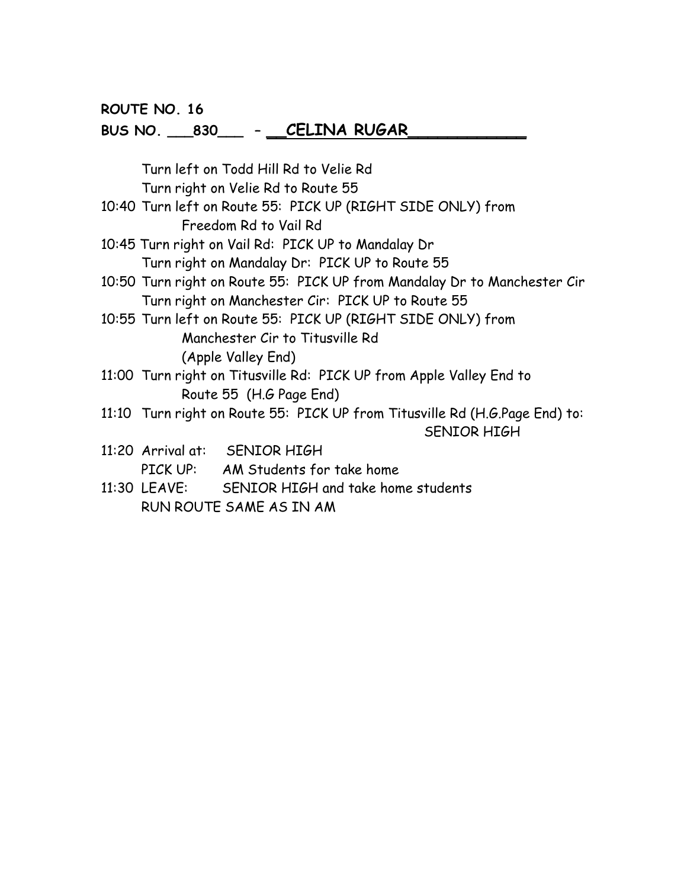# **BUS NO. \_\_\_830\_\_\_ – \_\_CELINA RUGAR\_\_\_\_\_\_\_\_\_\_\_\_**

|  | Turn left on Todd Hill Rd to Velie Rd                 |                                                                             |  |  |  |
|--|-------------------------------------------------------|-----------------------------------------------------------------------------|--|--|--|
|  | Turn right on Velie Rd to Route 55                    |                                                                             |  |  |  |
|  |                                                       | 10:40 Turn left on Route 55: PICK UP (RIGHT SIDE ONLY) from                 |  |  |  |
|  |                                                       | Freedom Rd to Vail Rd                                                       |  |  |  |
|  |                                                       | 10:45 Turn right on Vail Rd: PICK UP to Mandalay Dr                         |  |  |  |
|  | Turn right on Mandalay Dr: PICK UP to Route 55        |                                                                             |  |  |  |
|  |                                                       | 10:50 Turn right on Route 55: PICK UP from Mandalay Dr to Manchester Cir    |  |  |  |
|  | Turn right on Manchester Cir: PICK UP to Route 55     |                                                                             |  |  |  |
|  |                                                       | 10:55 Turn left on Route 55: PICK UP (RIGHT SIDE ONLY) from                 |  |  |  |
|  | Manchester Cir to Titusville Rd<br>(Apple Valley End) |                                                                             |  |  |  |
|  |                                                       |                                                                             |  |  |  |
|  |                                                       | 11:00 Turn right on Titusville Rd: PICK UP from Apple Valley End to         |  |  |  |
|  | Route 55 (H.G Page End)                               |                                                                             |  |  |  |
|  |                                                       | 11:10 Turn right on Route 55: PICK UP from Titusville Rd (H.G.Page End) to: |  |  |  |
|  |                                                       | <b>SENIOR HIGH</b>                                                          |  |  |  |
|  |                                                       | 11:20 Arrival at: SENIOR HIGH                                               |  |  |  |
|  |                                                       | PICK UP: AM Students for take home                                          |  |  |  |
|  |                                                       | 11:30 LEAVE: SENIOR HIGH and take home students                             |  |  |  |
|  | RUN ROUTE SAME AS IN AM                               |                                                                             |  |  |  |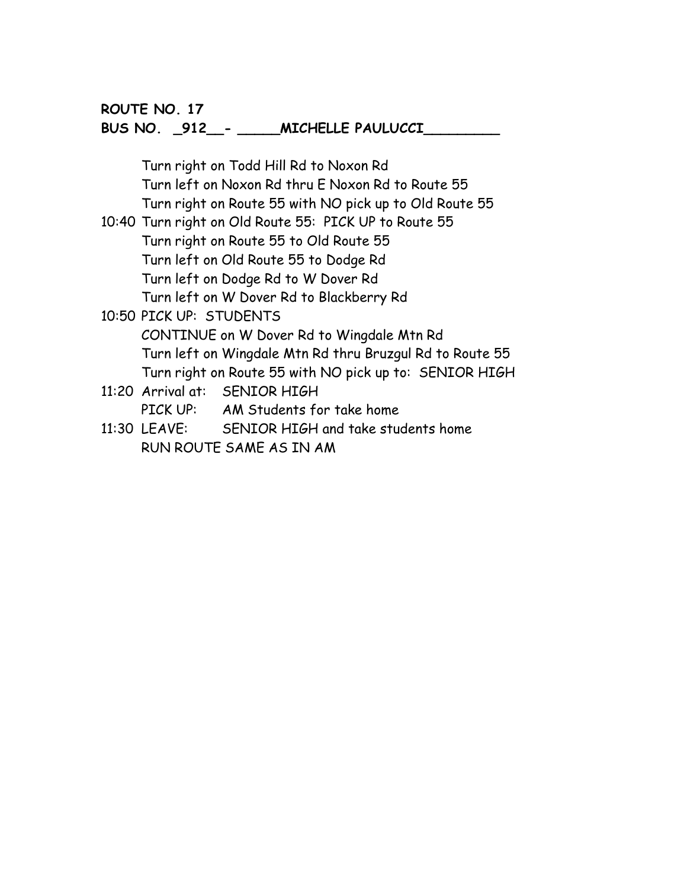### **BUS NO. \_912\_\_- \_\_\_\_\_MICHELLE PAULUCCI\_\_\_\_\_\_\_\_\_**

Turn right on Todd Hill Rd to Noxon Rd Turn left on Noxon Rd thru E Noxon Rd to Route 55 Turn right on Route 55 with NO pick up to Old Route 55 10:40 Turn right on Old Route 55: PICK UP to Route 55 Turn right on Route 55 to Old Route 55 Turn left on Old Route 55 to Dodge Rd Turn left on Dodge Rd to W Dover Rd Turn left on W Dover Rd to Blackberry Rd 10:50 PICK UP: STUDENTS CONTINUE on W Dover Rd to Wingdale Mtn Rd Turn left on Wingdale Mtn Rd thru Bruzgul Rd to Route 55 Turn right on Route 55 with NO pick up to: SENIOR HIGH 11:20 Arrival at: SENIOR HIGH PICK UP: AM Students for take home 11:30 LEAVE: SENIOR HIGH and take students home

RUN ROUTE SAME AS IN AM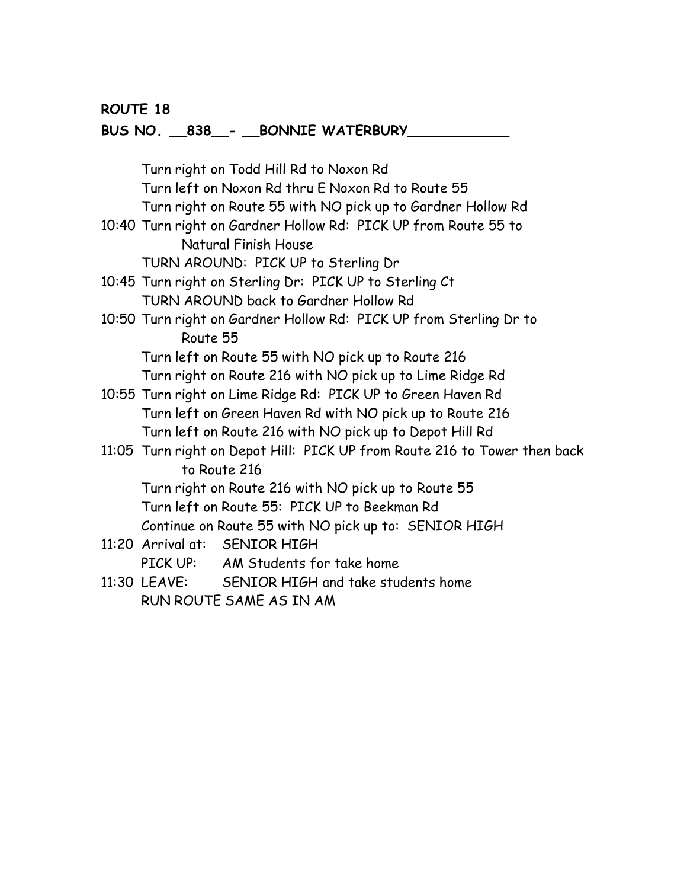### **ROUTE 18**

### **BUS NO. \_\_838\_\_- \_\_BONNIE WATERBURY\_\_\_\_\_\_\_\_\_\_\_\_**

|                                                         | Turn right on Todd Hill Rd to Noxon Rd                                    |  |  |
|---------------------------------------------------------|---------------------------------------------------------------------------|--|--|
| Turn left on Noxon Rd thru E Noxon Rd to Route 55       |                                                                           |  |  |
|                                                         | Turn right on Route 55 with NO pick up to Gardner Hollow Rd               |  |  |
|                                                         | 10:40 Turn right on Gardner Hollow Rd: PICK UP from Route 55 to           |  |  |
|                                                         | Natural Finish House                                                      |  |  |
|                                                         | TURN AROUND: PICK UP to Sterling Dr                                       |  |  |
|                                                         | 10:45 Turn right on Sterling Dr: PICK UP to Sterling Ct                   |  |  |
|                                                         | TURN AROUND back to Gardner Hollow Rd                                     |  |  |
|                                                         | 10:50 Turn right on Gardner Hollow Rd: PICK UP from Sterling Dr to        |  |  |
| Route 55                                                |                                                                           |  |  |
|                                                         | Turn left on Route 55 with NO pick up to Route 216                        |  |  |
|                                                         | Turn right on Route 216 with NO pick up to Lime Ridge Rd                  |  |  |
|                                                         | 10:55 Turn right on Lime Ridge Rd: PICK UP to Green Haven Rd              |  |  |
|                                                         | Turn left on Green Haven Rd with NO pick up to Route 216                  |  |  |
| Turn left on Route 216 with NO pick up to Depot Hill Rd |                                                                           |  |  |
|                                                         | 11:05 Turn right on Depot Hill: PICK UP from Route 216 to Tower then back |  |  |
|                                                         | to Route 216                                                              |  |  |
|                                                         | Turn right on Route 216 with NO pick up to Route 55                       |  |  |
|                                                         | Turn left on Route 55: PICK UP to Beekman Rd                              |  |  |
| Continue on Route 55 with NO pick up to: SENIOR HIGH    |                                                                           |  |  |
|                                                         | 11:20 Arrival at: SENIOR HIGH                                             |  |  |
|                                                         | PICK UP: AM Students for take home                                        |  |  |
|                                                         | 11:30 LEAVE: SENIOR HIGH and take students home                           |  |  |
|                                                         | RUN ROUTE SAME AS IN AM                                                   |  |  |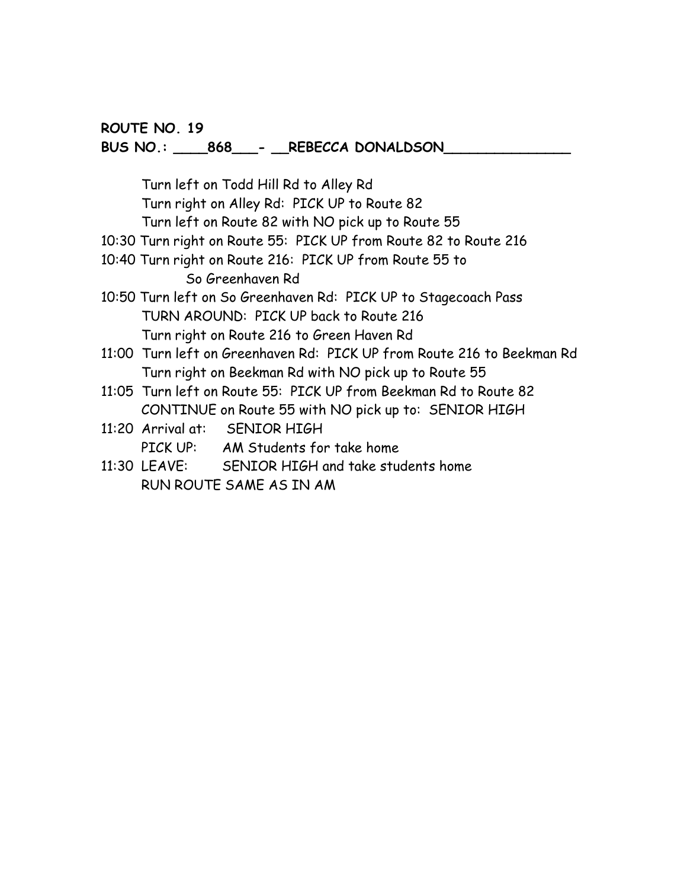#### **BUS NO.: \_\_\_\_868\_\_\_- \_\_REBECCA DONALDSON\_\_\_\_\_\_\_\_\_\_\_\_\_\_\_**

Turn left on Todd Hill Rd to Alley Rd Turn right on Alley Rd: PICK UP to Route 82 Turn left on Route 82 with NO pick up to Route 55 10:30 Turn right on Route 55: PICK UP from Route 82 to Route 216 10:40 Turn right on Route 216: PICK UP from Route 55 to So Greenhaven Rd 10:50 Turn left on So Greenhaven Rd: PICK UP to Stagecoach Pass TURN AROUND: PICK UP back to Route 216 Turn right on Route 216 to Green Haven Rd 11:00 Turn left on Greenhaven Rd: PICK UP from Route 216 to Beekman Rd Turn right on Beekman Rd with NO pick up to Route 55 11:05 Turn left on Route 55: PICK UP from Beekman Rd to Route 82 CONTINUE on Route 55 with NO pick up to: SENIOR HIGH 11:20 Arrival at: SENIOR HIGH PICK UP: AM Students for take home

11:30 LEAVE: SENIOR HIGH and take students home RUN ROUTE SAME AS IN AM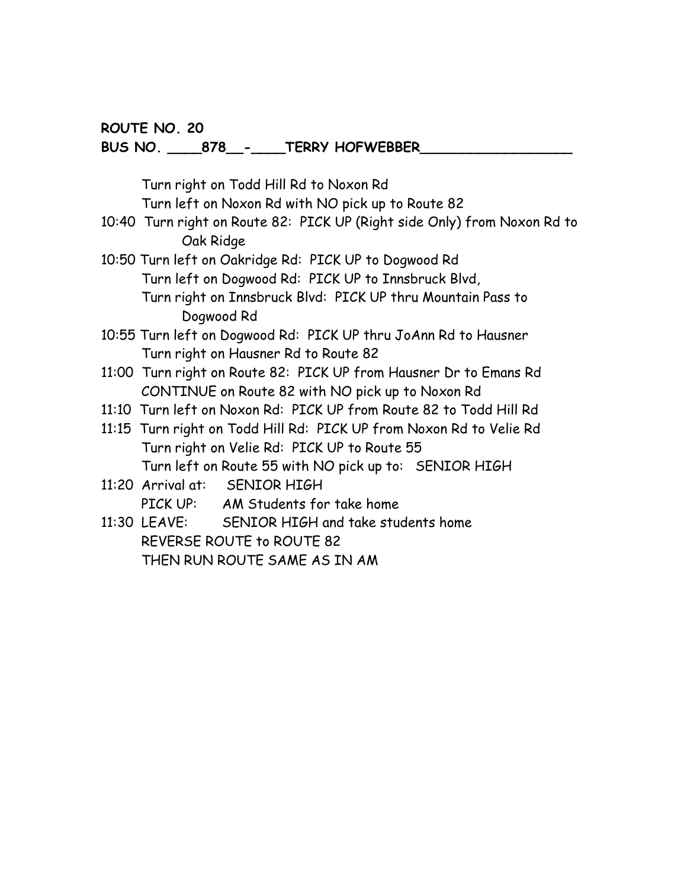#### **BUS NO. \_\_\_\_878\_\_-\_\_\_\_TERRY HOFWEBBER\_\_\_\_\_\_\_\_\_\_\_\_\_\_\_\_\_\_**

Turn right on Todd Hill Rd to Noxon Rd

Turn left on Noxon Rd with NO pick up to Route 82

- 10:40 Turn right on Route 82: PICK UP (Right side Only) from Noxon Rd to Oak Ridge
- 10:50 Turn left on Oakridge Rd: PICK UP to Dogwood Rd Turn left on Dogwood Rd: PICK UP to Innsbruck Blvd, Turn right on Innsbruck Blvd: PICK UP thru Mountain Pass to Dogwood Rd
- 10:55 Turn left on Dogwood Rd: PICK UP thru JoAnn Rd to Hausner Turn right on Hausner Rd to Route 82
- 11:00 Turn right on Route 82: PICK UP from Hausner Dr to Emans Rd CONTINUE on Route 82 with NO pick up to Noxon Rd
- 11:10 Turn left on Noxon Rd: PICK UP from Route 82 to Todd Hill Rd
- 11:15 Turn right on Todd Hill Rd: PICK UP from Noxon Rd to Velie Rd Turn right on Velie Rd: PICK UP to Route 55 Turn left on Route 55 with NO pick up to: SENIOR HIGH
- 11:20 Arrival at: SENIOR HIGH PICK UP: AM Students for take home
- 11:30 LEAVE: SENIOR HIGH and take students home REVERSE ROUTE to ROUTE 82 THEN RUN ROUTE SAME AS IN AM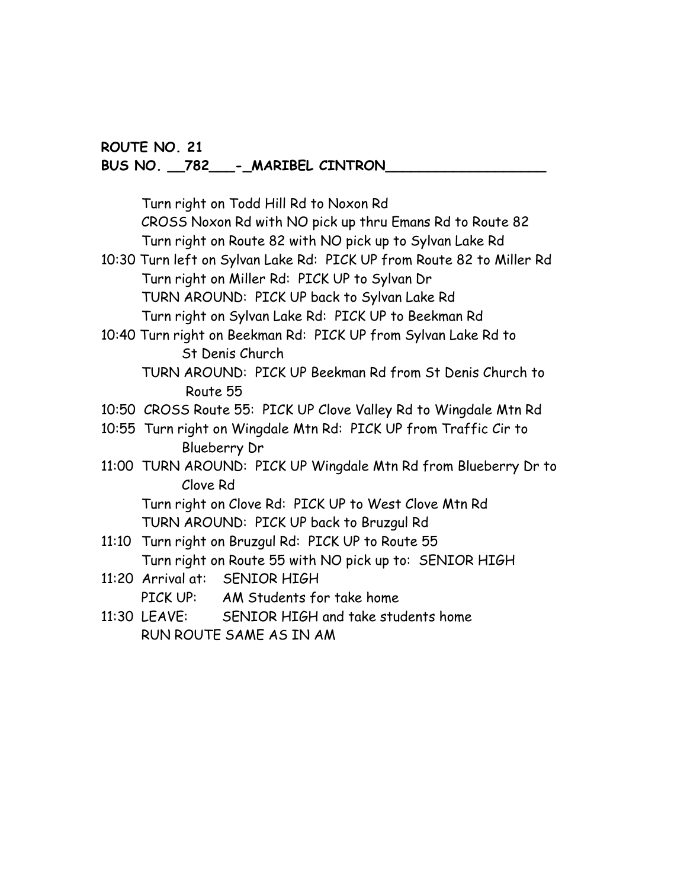#### **ROUTE NO. 21 BUS NO. \_\_782\_\_\_-\_MARIBEL CINTRON\_\_\_\_\_\_\_\_\_\_\_\_\_\_\_\_\_\_\_**

Turn right on Todd Hill Rd to Noxon Rd CROSS Noxon Rd with NO pick up thru Emans Rd to Route 82 Turn right on Route 82 with NO pick up to Sylvan Lake Rd

- 10:30 Turn left on Sylvan Lake Rd: PICK UP from Route 82 to Miller Rd Turn right on Miller Rd: PICK UP to Sylvan Dr TURN AROUND: PICK UP back to Sylvan Lake Rd Turn right on Sylvan Lake Rd: PICK UP to Beekman Rd
- 10:40 Turn right on Beekman Rd: PICK UP from Sylvan Lake Rd to St Denis Church
	- TURN AROUND: PICK UP Beekman Rd from St Denis Church to Route 55
- 10:50 CROSS Route 55: PICK UP Clove Valley Rd to Wingdale Mtn Rd
- 10:55 Turn right on Wingdale Mtn Rd: PICK UP from Traffic Cir to Blueberry Dr
- 11:00 TURN AROUND: PICK UP Wingdale Mtn Rd from Blueberry Dr to Clove Rd

Turn right on Clove Rd: PICK UP to West Clove Mtn Rd TURN AROUND: PICK UP back to Bruzgul Rd

- 11:10 Turn right on Bruzgul Rd: PICK UP to Route 55 Turn right on Route 55 with NO pick up to: SENIOR HIGH
- 11:20 Arrival at: SENIOR HIGH PICK UP: AM Students for take home
- 11:30 LEAVE: SENIOR HIGH and take students home RUN ROUTE SAME AS IN AM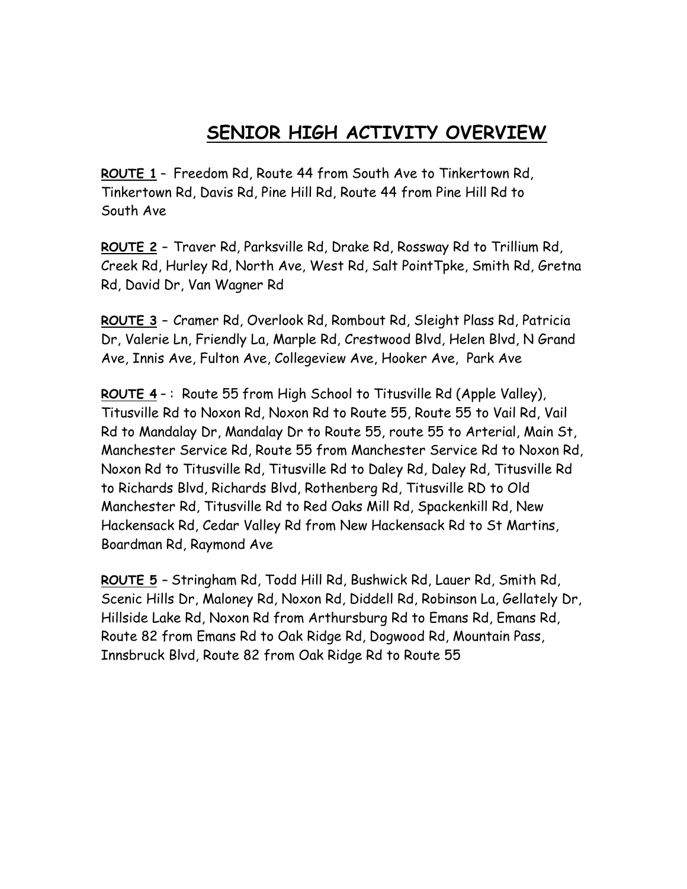# **SENIOR HIGH ACTIVITY OVERVIEW**

**ROUTE 1** – Freedom Rd, Route 44 from South Ave to Tinkertown Rd, Tinkertown Rd, Davis Rd, Pine Hill Rd, Route 44 from Pine Hill Rd to South Ave

**ROUTE 2 –** Traver Rd, Parksville Rd, Drake Rd, Rossway Rd to Trillium Rd, Creek Rd, Hurley Rd, North Ave, West Rd, Salt PointTpke, Smith Rd, Gretna Rd, David Dr, Van Wagner Rd

**ROUTE 3 –** Cramer Rd, Overlook Rd, Rombout Rd, Sleight Plass Rd, Patricia Dr, Valerie Ln, Friendly La, Marple Rd, Crestwood Blvd, Helen Blvd, N Grand Ave, Innis Ave, Fulton Ave, Collegeview Ave, Hooker Ave, Park Ave

**ROUTE 4** – : Route 55 from High School to Titusville Rd (Apple Valley), Titusville Rd to Noxon Rd, Noxon Rd to Route 55, Route 55 to Vail Rd, Vail Rd to Mandalay Dr, Mandalay Dr to Route 55, route 55 to Arterial, Main St, Manchester Service Rd, Route 55 from Manchester Service Rd to Noxon Rd, Noxon Rd to Titusville Rd, Titusville Rd to Daley Rd, Daley Rd, Titusville Rd to Richards Blvd, Richards Blvd, Rothenberg Rd, Titusville RD to Old Manchester Rd, Titusville Rd to Red Oaks Mill Rd, Spackenkill Rd, New Hackensack Rd, Cedar Valley Rd from New Hackensack Rd to St Martins, Boardman Rd, Raymond Ave

**ROUTE 5 –** Stringham Rd, Todd Hill Rd, Bushwick Rd, Lauer Rd, Smith Rd, Scenic Hills Dr, Maloney Rd, Noxon Rd, Diddell Rd, Robinson La, Gellately Dr, Hillside Lake Rd, Noxon Rd from Arthursburg Rd to Emans Rd, Emans Rd, Route 82 from Emans Rd to Oak Ridge Rd, Dogwood Rd, Mountain Pass, Innsbruck Blvd, Route 82 from Oak Ridge Rd to Route 55